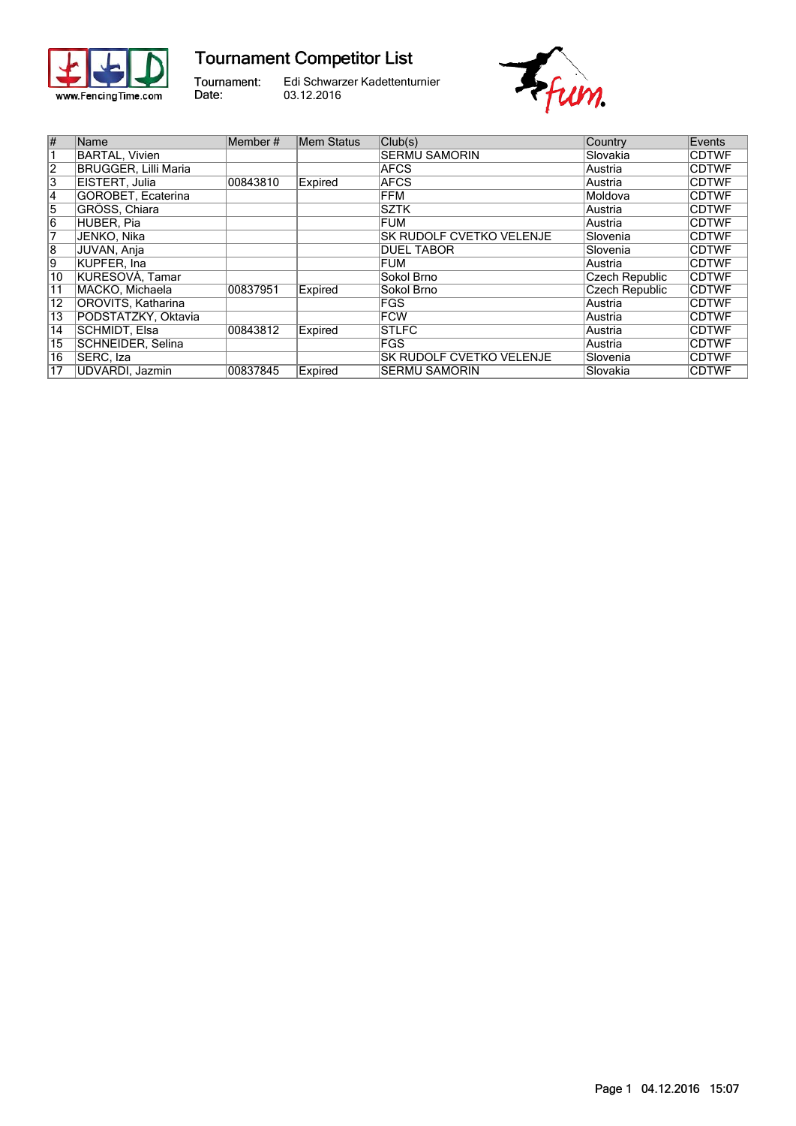

## **Tournament Competitor List**

Tournament: Date:

Edi Schwarzer Kadettenturnier 03.12.2016



| $\overline{\#}$           | <b>Name</b>           | Member#  | Mem Status | Club(s)                         | Country         | Events       |
|---------------------------|-----------------------|----------|------------|---------------------------------|-----------------|--------------|
|                           | <b>BARTAL, Vivien</b> |          |            | <b>ISERMU SAMORIN</b>           | Slovakia        | <b>CDTWF</b> |
| $\overline{2}$            | BRUGGER, Lilli Maria  |          |            | <b>AFCS</b>                     | Austria         | <b>CDTWF</b> |
| $\overline{\overline{3}}$ | EISTERT, Julia        | 00843810 | Expired    | <b>AFCS</b>                     | Austria         | <b>CDTWF</b> |
| $\vert 4$                 | GOROBET, Ecaterina    |          |            | FFM                             | Moldova         | <b>CDTWF</b> |
| $\overline{5}$            | GRÖSS, Chiara         |          |            | <b>SZTK</b>                     | Austria         | <b>CDTWF</b> |
| $\overline{6}$            | HUBER, Pia            |          |            | <b>FUM</b>                      | Austria         | <b>CDTWF</b> |
| 7                         | JENKO, Nika           |          |            | <b>SK RUDOLF CVETKO VELENJE</b> | Slovenia        | <b>CDTWF</b> |
| $\overline{8}$            | JUVAN, Anja           |          |            | <b>DUEL TABOR</b>               | <b>Slovenia</b> | <b>CDTWF</b> |
| 9                         | KUPFER, Ina           |          |            | <b>FUM</b>                      | Austria         | <b>CDTWF</b> |
| 10                        | KURESOVÁ, Tamar       |          |            | Sokol Brno                      | Czech Republic  | <b>CDTWF</b> |
| 11                        | MACKO. Michaela       | 00837951 | Expired    | Sokol Brno                      | Czech Republic  | <b>CDTWF</b> |
| 12                        | OROVITS, Katharina    |          |            | <b>FGS</b>                      | Austria         | <b>CDTWF</b> |
| $\overline{13}$           | PODSTATZKY, Oktavia   |          |            | <b>FCW</b>                      | Austria         | <b>CDTWF</b> |
| 14                        | SCHMIDT. Elsa         | 00843812 | Expired    | <b>STLFC</b>                    | Austria         | <b>CDTWF</b> |
| 15                        | SCHNEIDER, Selina     |          |            | <b>FGS</b>                      | lAustria        | <b>CDTWF</b> |
| 16                        | SERC, Iza             |          |            | <b>SK RUDOLF CVETKO VELENJE</b> | Slovenia        | <b>CDTWF</b> |
| 17                        | UDVARDI, Jazmin       | 00837845 | Expired    | <b>SERMU SAMORIN</b>            | Slovakia        | <b>CDTWF</b> |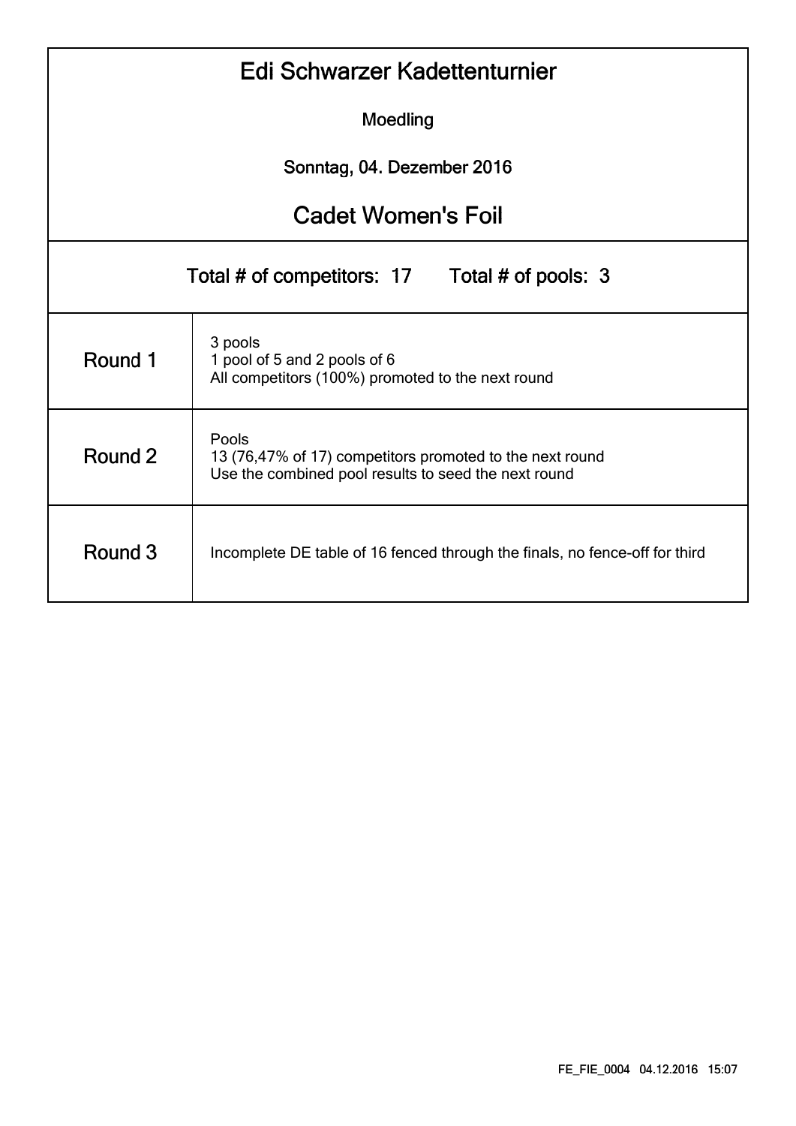|                                                | Edi Schwarzer Kadettenturnier                                                                                             |  |  |  |  |  |  |  |  |  |  |
|------------------------------------------------|---------------------------------------------------------------------------------------------------------------------------|--|--|--|--|--|--|--|--|--|--|
|                                                | Moedling                                                                                                                  |  |  |  |  |  |  |  |  |  |  |
| Sonntag, 04. Dezember 2016                     |                                                                                                                           |  |  |  |  |  |  |  |  |  |  |
| <b>Cadet Women's Foil</b>                      |                                                                                                                           |  |  |  |  |  |  |  |  |  |  |
| Total # of competitors: 17 Total # of pools: 3 |                                                                                                                           |  |  |  |  |  |  |  |  |  |  |
| Round 1                                        | 3 pools<br>1 pool of 5 and 2 pools of 6<br>All competitors (100%) promoted to the next round                              |  |  |  |  |  |  |  |  |  |  |
| Round 2                                        | Pools<br>13 (76,47% of 17) competitors promoted to the next round<br>Use the combined pool results to seed the next round |  |  |  |  |  |  |  |  |  |  |
| Round 3                                        | Incomplete DE table of 16 fenced through the finals, no fence-off for third                                               |  |  |  |  |  |  |  |  |  |  |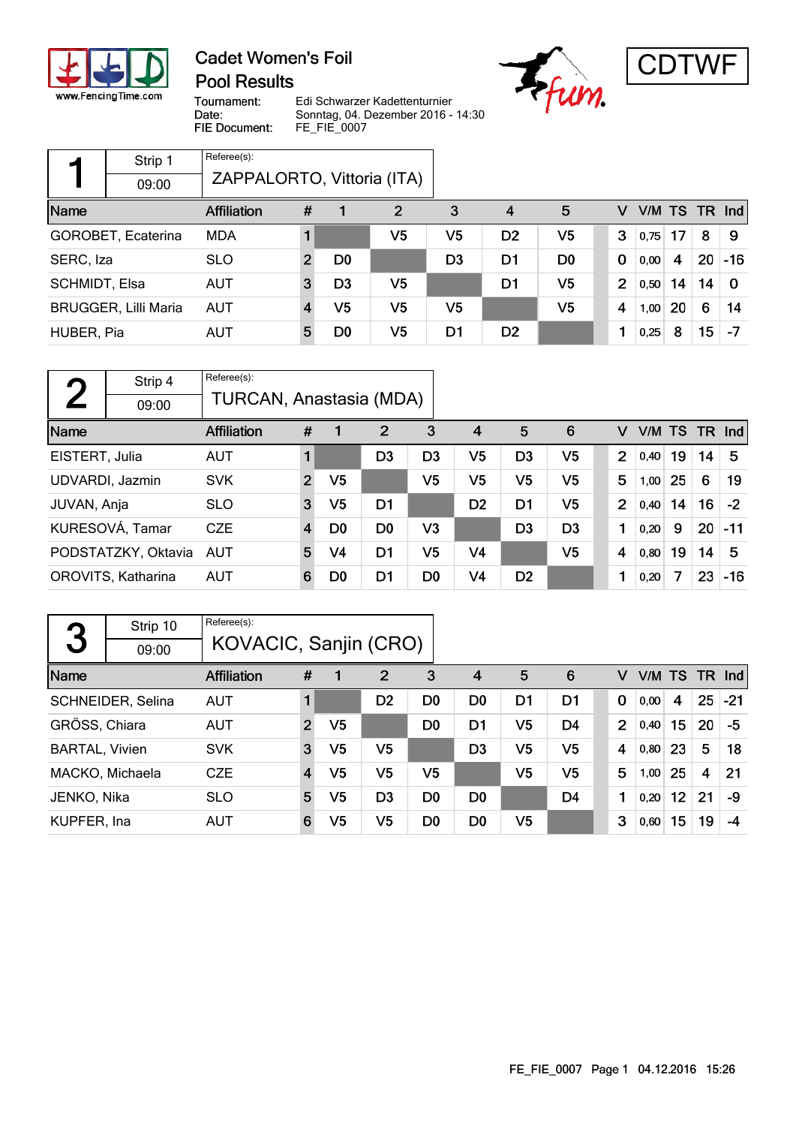

### **Cadet Women's Foil Pool Results**





Tournament: Date: FIE Document:

Edi Schwarzer Kadettenturnier Sonntag, 04. Dezember 2016 - 14:30 FE\_FIE\_0007

|               | Strip 1                     | Referee(s):                |              |                |    |                |                |                |                |           |    |    |          |
|---------------|-----------------------------|----------------------------|--------------|----------------|----|----------------|----------------|----------------|----------------|-----------|----|----|----------|
|               | 09:00                       | ZAPPALORTO, Vittoria (ITA) |              |                |    |                |                |                |                |           |    |    |          |
| Name          |                             | <b>Affiliation</b>         | #            |                | 2  | 3              | 4              | 5              | v              | V/M TS TR |    |    | Ind      |
|               | GOROBET, Ecaterina          | <b>MDA</b>                 |              |                | V5 | V5             | D <sub>2</sub> | V <sub>5</sub> | 3              | 0,75      | 17 | 8  | 9        |
| SERC, Iza     |                             | <b>SLO</b>                 | $\mathbf{2}$ | D <sub>0</sub> |    | D <sub>3</sub> | D1             | D <sub>0</sub> | $\bf{0}$       | 0,00      | 4  | 20 | $-16$    |
| SCHMIDT, Elsa |                             | <b>AUT</b>                 | 3            | D3             | V5 |                | D1             | V5             | $\overline{2}$ | 0,50      | 14 | 14 | $\Omega$ |
|               | <b>BRUGGER, Lilli Maria</b> | <b>AUT</b>                 | 4            | V5             | V5 | V5             |                | V5             | $\overline{4}$ | 1,00      | 20 | 6  | 14       |
| HUBER, Pia    |                             | <b>AUT</b>                 | 5            | D0             | V5 | D1             | D <sub>2</sub> |                | 1              | 0,25      | 8  | 15 | -7       |

| $\blacksquare$ | Strip 4             | Referee(s):             |                |                |                |                |                |                |                |                |        |    |      |       |
|----------------|---------------------|-------------------------|----------------|----------------|----------------|----------------|----------------|----------------|----------------|----------------|--------|----|------|-------|
|                | 09:00               | TURCAN, Anastasia (MDA) |                |                |                |                |                |                |                |                |        |    |      |       |
| Name           |                     | <b>Affiliation</b>      | #              |                | $\overline{2}$ | 3              | $\overline{4}$ | 5              | 6              | v              | V/M TS |    | TR . | Ind   |
| EISTERT, Julia |                     | <b>AUT</b>              | $\blacksquare$ |                | D <sub>3</sub> | D <sub>3</sub> | V5             | D <sub>3</sub> | V <sub>5</sub> | $\overline{2}$ | 0,40   | 19 | 14   | 5     |
|                | UDVARDI, Jazmin     | <b>SVK</b>              | $\overline{2}$ | V <sub>5</sub> |                | V <sub>5</sub> | V <sub>5</sub> | V <sub>5</sub> | V <sub>5</sub> | 5              | 1,00   | 25 | 6    | 19    |
| JUVAN, Anja    |                     | <b>SLO</b>              | 3              | V5             | D1             |                | D <sub>2</sub> | D1             | V <sub>5</sub> | $\overline{2}$ | 0,40   | 14 | 16   | $-2$  |
|                | KURESOVÁ, Tamar     | <b>CZE</b>              | $\overline{4}$ | D <sub>0</sub> | D <sub>0</sub> | V3             |                | D <sub>3</sub> | D <sub>3</sub> | 1              | 0,20   | 9  | 20   | $-11$ |
|                | PODSTATZKY, Oktavia | AUT                     | 5              | V4             | D <sub>1</sub> | V5             | V4             |                | V5             | 4              | 0,80   | 19 | 14   | 5     |
|                | OROVITS, Katharina  | <b>AUT</b>              | 6              | D0             | D1             | D <sub>0</sub> | V <sub>4</sub> | D <sub>2</sub> |                | 1              | 0,20   | 7  | 23   | $-16$ |

|                       | Strip 10          | Referee(s):           |                |                |                |                |                |                |                |                |      |                 |                    |       |
|-----------------------|-------------------|-----------------------|----------------|----------------|----------------|----------------|----------------|----------------|----------------|----------------|------|-----------------|--------------------|-------|
| 3                     | 09:00             | KOVACIC, Sanjin (CRO) |                |                |                |                |                |                |                |                |      |                 |                    |       |
| Name                  |                   | <b>Affiliation</b>    | #              |                | $\overline{2}$ | 3              | $\overline{4}$ | 5              | 6              | v              |      | V/M TS          | - TR               | nd    |
|                       | SCHNEIDER, Selina | <b>AUT</b>            |                |                | D <sub>2</sub> | D <sub>0</sub> | D <sub>0</sub> | D <sub>1</sub> | D <sub>1</sub> | $\mathbf 0$    | 0,00 | 4               | 25                 | $-21$ |
| GRÖSS, Chiara         |                   | <b>AUT</b>            | $\overline{2}$ | V5             |                | D <sub>0</sub> | D <sub>1</sub> | V5             | D <sub>4</sub> | $\overline{2}$ | 0,40 | 15              | 20                 | -5    |
| <b>BARTAL, Vivien</b> |                   | <b>SVK</b>            | 3              | V5             | V5             |                | D <sub>3</sub> | V5             | V <sub>5</sub> | 4              | 0,80 | 23              | 5                  | 18    |
|                       | MACKO, Michaela   | <b>CZE</b>            | $\overline{4}$ | V <sub>5</sub> | V <sub>5</sub> | V5             |                | V <sub>5</sub> | V <sub>5</sub> | 5              | 1,00 | 25              | $\overline{\bf 4}$ | 21    |
| JENKO, Nika           |                   | <b>SLO</b>            | 5              | V5             | D <sub>3</sub> | D <sub>0</sub> | D <sub>0</sub> |                | D <sub>4</sub> | 1              | 0,20 | 12 <sub>2</sub> | 21                 | -9    |
| KUPFER, Ina           |                   | AUT                   | 6              | V5             | V5             | D <sub>0</sub> | D <sub>0</sub> | V5             |                | 3              | 0,60 | 15              | 19                 | -4    |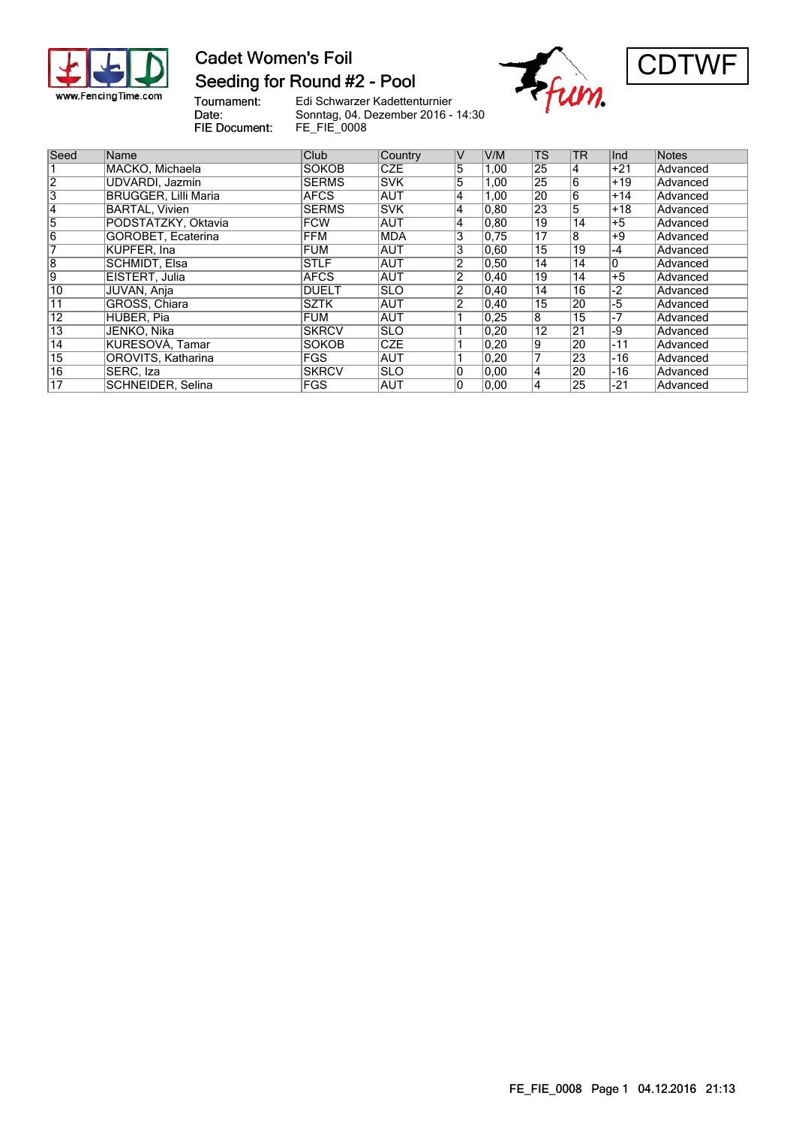

#### **Cadet Women's Foil** Seeding for Round #2 - Pool





Tournament:<br>Date: FIE Document:

Edi Schwarzer Kadettenturnier Sonntag, 04. Dezember 2016 - 14:30 FE\_FIE\_0008

| Seed            |                             |               |             |                |                |                 |                 |       |          |
|-----------------|-----------------------------|---------------|-------------|----------------|----------------|-----------------|-----------------|-------|----------|
|                 | Name                        | <b>Club</b>   | Country     | V              | V/M            | <b>TS</b>       | <b>TR</b>       | Ind   | Notes    |
|                 | MACKO, Michaela             | <b>SOKOB</b>  | <b>CZE</b>  | 5              | 1,00           | 25              | 14              | $+21$ | Advanced |
| $\overline{2}$  | UDVARDI, Jazmin             | <b>SERMS</b>  | <b>ISVK</b> | 5              | 1,00           | 25              | 6               | $+19$ | Advanced |
| 3               | <b>BRUGGER, Lilli Maria</b> | <b>AFCS</b>   | <b>AUT</b>  | 4              | 1,00           | 20              | 16              | $+14$ | Advanced |
| 14              | <b>BARTAL, Vivien</b>       | <b>SERMS</b>  | <b>SVK</b>  | 4              | 0, 80          | $\overline{23}$ | 5               | $+18$ | Advanced |
| 5               | PODSTATZKY, Oktavia         | <b>FCW</b>    | <b>AUT</b>  | 4              | 0, 80          | 19              | $\overline{14}$ | $+5$  | Advanced |
| 6               | GOROBET, Ecaterina          | <b>FFM</b>    | <b>MDA</b>  | 3              | 0.75           | 17              | $\overline{8}$  | $+9$  | Advanced |
|                 | <b>KUPFER, Ina</b>          | <b>FUM</b>    | <b>AUT</b>  | 3              | 0,60           | $\overline{15}$ | 19              | $-4$  | Advanced |
| $\overline{8}$  | SCHMIDT, Elsa               | <b>STLF</b>   | <b>AUT</b>  | 2              | 0,50           | 14              | 14              | 0     | Advanced |
| Ι9              | EISTERT, Julia              | <b>AFCS</b>   | <b>AUT</b>  | 2              | $ 0.40\rangle$ | 19              | 14              | $+5$  | Advanced |
| 10              | JUVAN, Anja                 | <b>DUELT</b>  | <b>SLO</b>  | $\overline{2}$ | $ 0.40\rangle$ | 14              | 16              | $-2$  | Advanced |
| 11              | GRÖSS, Chiara               | <b>SZTK</b>   | <b>AUT</b>  | $\overline{2}$ | $ 0.40\rangle$ | 15              | 20              | -5    | Advanced |
| $\overline{12}$ | HUBER, Pia                  | FUM           | <b>AUT</b>  |                | 0.25           | 18              | 15              | $-7$  | Advanced |
| $\overline{13}$ | JENKO, Nika                 | <b>SKRCV</b>  | <b>SLO</b>  |                | $ 0,20\rangle$ | $\overline{12}$ | 21              | -9    | Advanced |
| $\overline{14}$ | KURESOVÁ, Tamar             | <b>SOKOB</b>  | <b>CZE</b>  |                | $ 0,20\rangle$ | 19              | 20              | $-11$ | Advanced |
| $\overline{15}$ | OROVITS, Katharina          | FGS           | <b>AUT</b>  |                | $ 0,20\rangle$ | 7               | 23              | -16   | Advanced |
| $\overline{16}$ | SERC, Iza                   | <b>ISKRCV</b> | ISLO        | 0              | 0.00           | $\overline{4}$  | 20              | -16   | Advanced |
| 17              | SCHNEIDER, Selina           | <b>IFGS</b>   | <b>AUT</b>  | 0              | 0.00           | 4               | 25              | -21   | Advanced |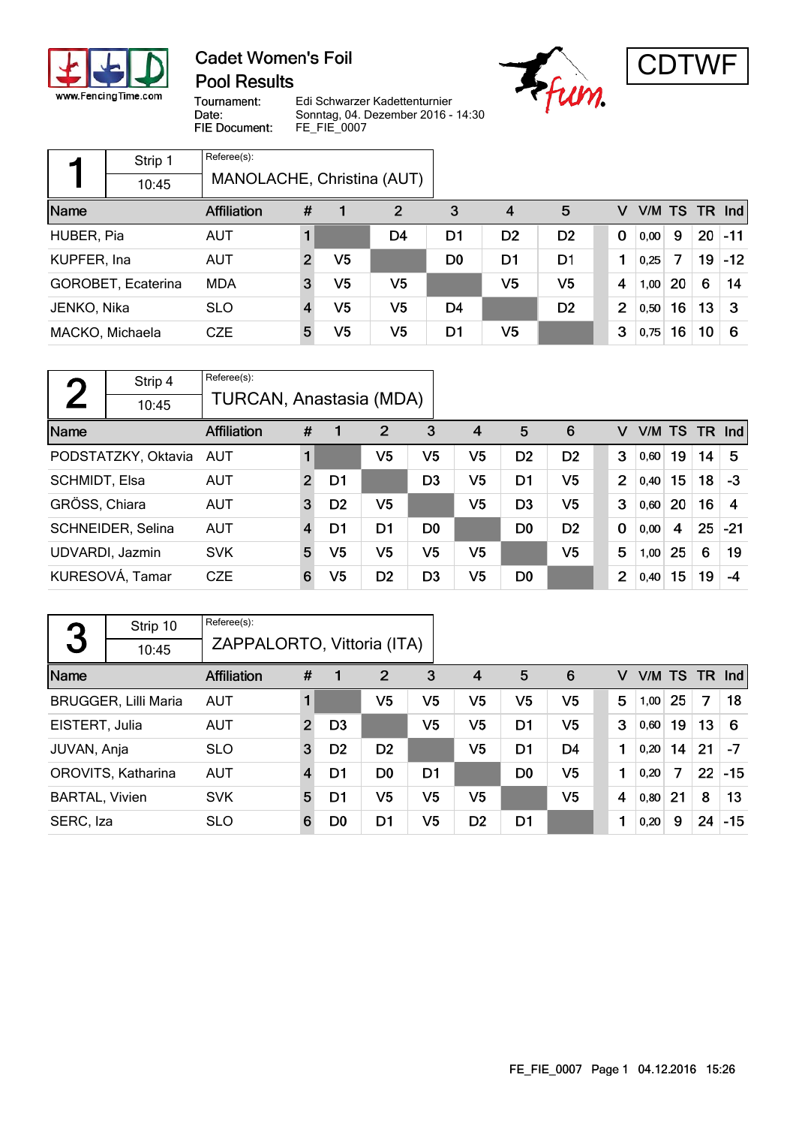

- r

### **Cadet Women's Foil Pool Results**





Tournament: Date: FIE Document:

Edi Schwarzer Kadettenturnier Sonntag, 04. Dezember 2016 - 14:30 FE\_FIE\_0007

|             | Strip 1            | Referee(s):                |   |                |              |                |                |                |                |        |    |    |          |
|-------------|--------------------|----------------------------|---|----------------|--------------|----------------|----------------|----------------|----------------|--------|----|----|----------|
|             | 10:45              | MANOLACHE, Christina (AUT) |   |                |              |                |                |                |                |        |    |    |          |
| Name        |                    | <b>Affiliation</b>         | # | 1              | $\mathbf{2}$ | 3              | 4              | 5              | v              | V/M TS |    |    | $TR$ Ind |
| HUBER, Pia  |                    | <b>AUT</b>                 |   |                | D4           | D1             | D <sub>2</sub> | D <sub>2</sub> | 0              | 0,00   | 9  | 20 | $-11$    |
| KUPFER, Ina |                    | <b>AUT</b>                 | 2 | V <sub>5</sub> |              | D <sub>0</sub> | D1             | D1             | 1              | 0,25   | 7  | 19 | $-12$    |
|             | GOROBET, Ecaterina | <b>MDA</b>                 | 3 | V5             | V5           |                | V <sub>5</sub> | V5             | 4              | 1,00   | 20 | 6  | 14       |
| JENKO, Nika |                    | <b>SLO</b>                 |   | V5             | V5           | D4             |                | D <sub>2</sub> | $\overline{2}$ | 0,50   | 16 | 13 | 3        |
|             | MACKO, Michaela    | <b>CZE</b>                 | 5 | V5             | V5           | D1             | V <sub>5</sub> |                | 3              | 0,75   | 16 | 10 | -6       |

| $\blacksquare$ | Strip 4             | Referee(s):             |                |                |                |                |                |                |                |             |        |    |        |       |
|----------------|---------------------|-------------------------|----------------|----------------|----------------|----------------|----------------|----------------|----------------|-------------|--------|----|--------|-------|
|                | 10:45               | TURCAN, Anastasia (MDA) |                |                |                |                |                |                |                |             |        |    |        |       |
| Name           |                     | <b>Affiliation</b>      | #              |                | $\overline{2}$ | 3              | $\overline{4}$ | 5              | 6              |             | V/M TS |    | TR Ind |       |
|                | PODSTATZKY, Oktavia | AUT                     |                |                | V5             | V5             | V5             | D <sub>2</sub> | D <sub>2</sub> | 3           | 0,60   | 19 | 14     | 5     |
| SCHMIDT, Elsa  |                     | <b>AUT</b>              | $\overline{2}$ | D1             |                | D <sub>3</sub> | V <sub>5</sub> | D <sub>1</sub> | V <sub>5</sub> | 2           | 0,40   | 15 | 18     | $-3$  |
| GRÖSS, Chiara  |                     | AUT                     | 3              | D <sub>2</sub> | V <sub>5</sub> |                | V <sub>5</sub> | D <sub>3</sub> | V <sub>5</sub> | 3           | 0,60   | 20 | 16     | 4     |
|                | SCHNEIDER, Selina   | <b>AUT</b>              | 4              | D1             | D1             | D <sub>0</sub> |                | D <sub>0</sub> | D <sub>2</sub> | $\mathbf 0$ | 0,00   | 4  | 25     | $-21$ |
|                | UDVARDI, Jazmin     | <b>SVK</b>              | 5              | V5             | V5             | V <sub>5</sub> | V5             |                | V5             | 5           | 1,00   | 25 | 6      | 19    |
|                | KURESOVÁ, Tamar     | <b>CZE</b>              | 6              | V5             | D <sub>2</sub> | D3             | V <sub>5</sub> | D <sub>0</sub> |                | 2           | 0,40   | 15 | 19     | -4    |

|                       | Strip 10                    | Referee(s):        |                            |                |                |                |                |                |                |  |   |      |    |    |                  |
|-----------------------|-----------------------------|--------------------|----------------------------|----------------|----------------|----------------|----------------|----------------|----------------|--|---|------|----|----|------------------|
| 3                     | 10:45                       |                    | ZAPPALORTO, Vittoria (ITA) |                |                |                |                |                |                |  |   |      |    |    |                  |
| Name                  |                             | <b>Affiliation</b> | #                          |                | $\overline{2}$ | 3              | $\overline{4}$ | 5              | 6              |  | v |      |    |    | $VM$ TS TR $Ind$ |
|                       | <b>BRUGGER, Lilli Maria</b> | <b>AUT</b>         |                            |                | V5             | V5             | V <sub>5</sub> | V5             | V <sub>5</sub> |  | 5 | 1,00 | 25 | 7  | 18               |
| EISTERT, Julia        |                             | AUT                | $\overline{2}$             | D <sub>3</sub> |                | V <sub>5</sub> | V <sub>5</sub> | D <sub>1</sub> | V <sub>5</sub> |  | 3 | 0,60 | 19 | 13 | -6               |
| JUVAN, Anja           |                             | <b>SLO</b>         | $\mathbf{3}$               | D <sub>2</sub> | D <sub>2</sub> |                | V <sub>5</sub> | D <sub>1</sub> | D <sub>4</sub> |  | 1 | 0,20 | 14 | 21 | $-7$             |
|                       | OROVITS, Katharina          | <b>AUT</b>         | $\overline{4}$             | D1             | D <sub>0</sub> | D <sub>1</sub> |                | D <sub>0</sub> | V <sub>5</sub> |  | 1 | 0,20 | 7  | 22 | $-15$            |
| <b>BARTAL, Vivien</b> |                             | <b>SVK</b>         | 5                          | D1             | V <sub>5</sub> | V <sub>5</sub> | V <sub>5</sub> |                | V <sub>5</sub> |  | 4 | 0,80 | 21 | 8  | 13               |
| SERC, Iza             |                             | <b>SLO</b>         | 6                          | D <sub>0</sub> | D1             | V <sub>5</sub> | D <sub>2</sub> | D <sub>1</sub> |                |  |   | 0,20 | 9  | 24 | $-15$            |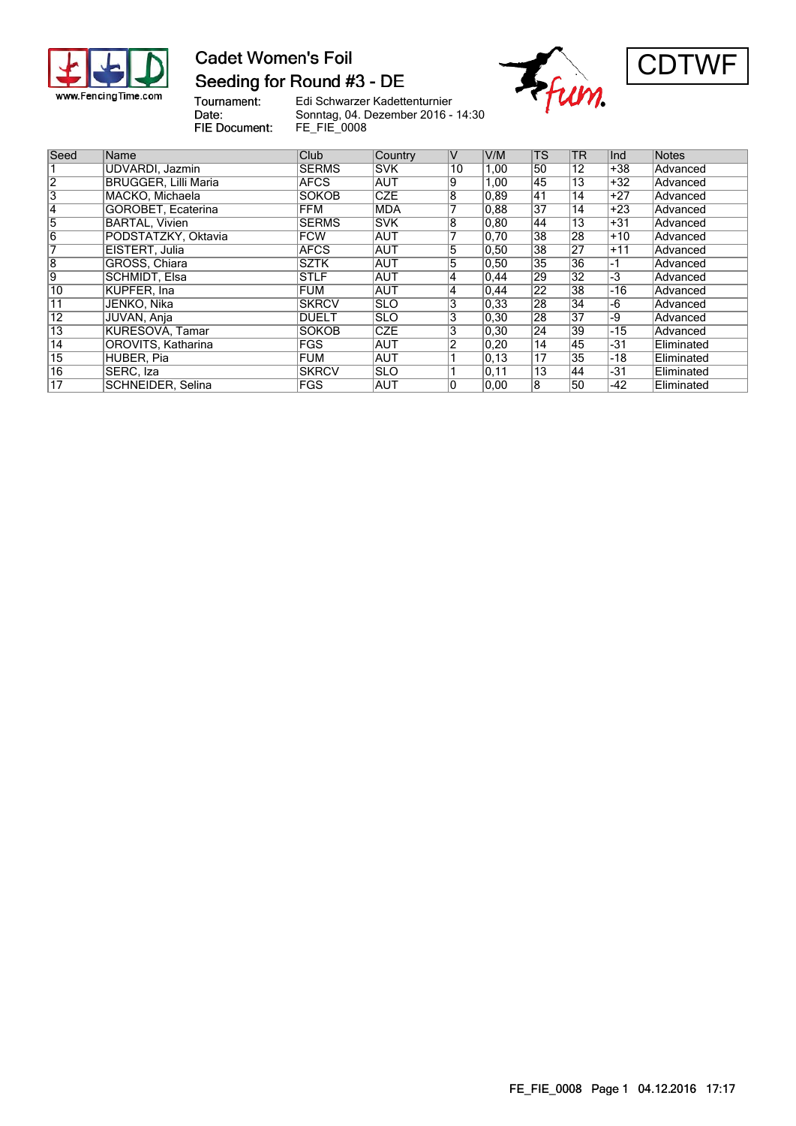

### **Cadet Women's Foil** Seeding for Round #3 - DE





Tournament: Edi Schwarzer Kadettenturnier Sonntag, 04. Dezember 2016 - 14:30 Date: FIE Document: FE\_FIE\_0008

Seed Name  $\vert$  Club Country V V/M TS TR Ind Notes 1 UDVARDI, Jazmin SERMS SVK 10 1,00 50 12 +38 Advanced<br>2 BRUGGER, Lilli Maria AFCS AUT 9 1,00 45 13 +32 Advanced 2 BRUGGER, Lilli Maria AFCS AUT 9 1,00 45 13 +32 Advanced<br>
3 MACKO, Michaela SOKOB CZE 8 0,89 41 14 +27 Advanced<br>
4 GOROBET, Ecaterina FFM MDA 7 0,88 37 14 +23 Advanced MACKO, Michaela 4 GOROBET, Ecaterina FFM MDA 7 0,88 37 14 +23 Advanced<br>
5 BARTAL, Vivien SERMS SVK 8 0,80 44 13 +31 Advanced<br>
6 PODSTATZKY, Oktavia FCW AUT 7 0,70 38 28 +10 Advanced BARTAL, Vivien **SERMS** SVK 8 0,80 44 13 +31 Advanced 6 PODSTATZKY, Oktavia FCW AUT 7 0,70 38 28 +10 Advanced 7 EISTERT, Julia AFCS AUT 5 0,50 38 27 +11 Advanced 8 | GRÖSS, Chiara | SZTK |AUT | 5 | 0,50 | 35 | 36 |-1 | Advanced 9 SCHMIDT, Elsa STLF AUT 4 0,44 29 32 -3 Advanced 10 KUPFER, Ina FUM AUT 4 0,44 22 38 -16 Advanced 11 JENKO, Nika SKRCV SLO 3 0,33 28 34 -6 Advanced 12 JUVAN, Anja DUELT SLO 3 0,30 28 37 -9 Advanced 13 KURESOVÁ, Tamar SOKOB CZE 3 0,30 24 39 -15 Advanced 14 OROVITS, Katharina FGS AUT 2 0,20 14 45 -31 Eliminated 15 HUBER, Pia **FUM AUT 1** 0,13 17 35 -18 Eliminated 16 | SERC, Iza | SKRCV | SLO | 1 | 0,11 | 13 | 44 | -31 | Eliminated 17 SCHNEIDER, Selina | FGS AUT 0 0,00 8 50 -42 Eliminated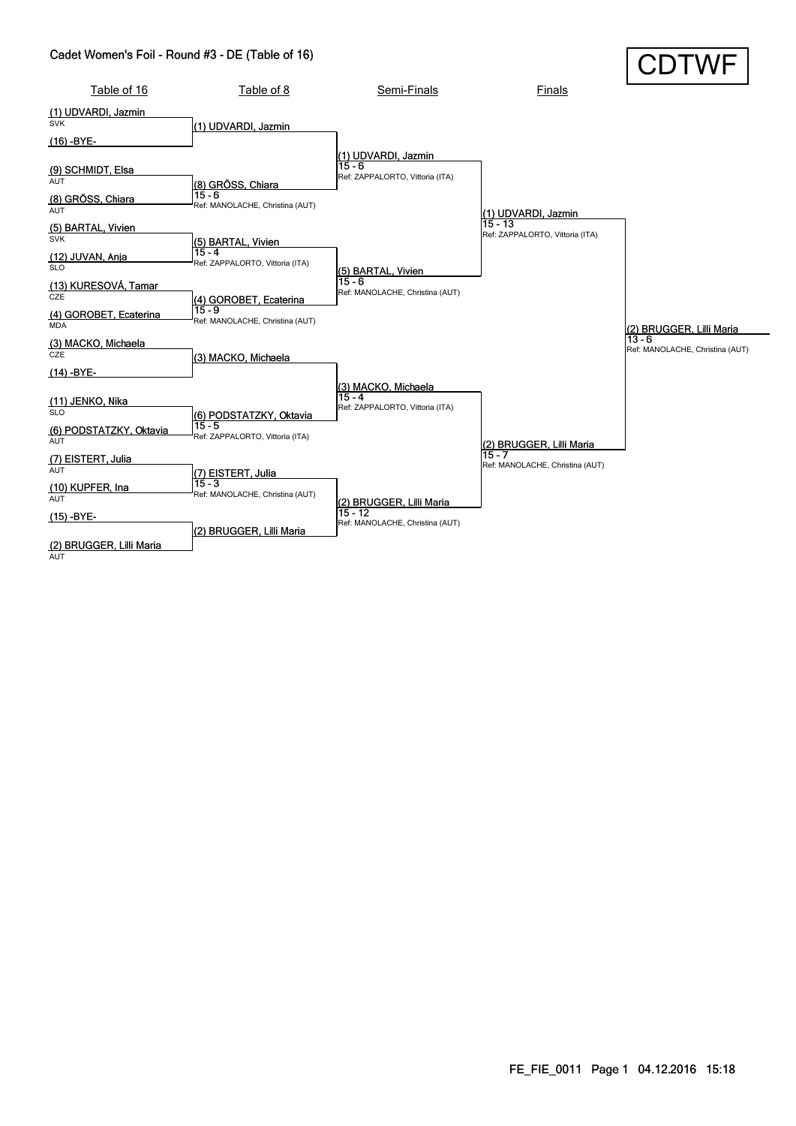#### Cadet Women's Foil - Round #3 - DE (Table of 16)

| Cadet Women's Foil - Round #3 - DE (Table of 16)                    |                                                                        |                                                                    |                                             | <b>CDTWF</b>                         |
|---------------------------------------------------------------------|------------------------------------------------------------------------|--------------------------------------------------------------------|---------------------------------------------|--------------------------------------|
| Table of 16                                                         | Table of 8                                                             | Semi-Finals                                                        | <b>Finals</b>                               |                                      |
| (1) UDVARDI, Jazmin<br><b>SVK</b><br>(16) -BYE-                     | (1) UDVARDI, Jazmin                                                    |                                                                    |                                             |                                      |
| (9) SCHMIDT, Elsa<br><b>AUT</b><br>(8) GRÖSS, Chiara<br><b>AUT</b>  | (8) GRÖSS, Chiara<br>$15 - 6$<br>Ref: MANOLACHE, Christina (AUT)       | (1) UDVARDI, Jazmin<br>$15 - 6$<br>Ref: ZAPPALORTO, Vittoria (ITA) | (1) UDVARDI, Jazmin                         |                                      |
| (5) BARTAL, Vivien<br><b>SVK</b><br>(12) JUVAN, Anja<br><b>SLO</b>  | (5) BARTAL, Vivien<br>$15 - 4$<br>Ref: ZAPPALORTO, Vittoria (ITA)      | (5) BARTAL, Vivien<br>$15 - 6$                                     | 15 - 13<br>Ref: ZAPPALORTO, Vittoria (ITA)  |                                      |
| (13) KURESOVÁ, Tamar<br>CZE<br>(4) GOROBET, Ecaterina<br><b>MDA</b> | (4) GOROBET, Ecaterina<br>$15 - 9$<br>Ref: MANOLACHE, Christina (AUT)  | Ref: MANOLACHE, Christina (AUT)                                    |                                             | (2) BRUGGER, Lilli Maria<br>$13 - 6$ |
| (3) MACKO, Michaela<br>CZE<br>$(14) - BYE-$                         | (3) MACKO, Michaela                                                    |                                                                    |                                             | Ref: MANOLACHE, Christina (AUT)      |
| (11) JENKO, Nika<br><b>SLO</b><br>(6) PODSTATZKY, Oktavia<br>AUT    | (6) PODSTATZKY, Oktavia<br>$15 - 5$<br>Ref: ZAPPALORTO, Vittoria (ITA) | (3) MACKO, Michaela<br>15 - 4<br>Ref: ZAPPALORTO, Vittoria (ITA)   | (2) BRUGGER, Lilli Maria                    |                                      |
| (7) EISTERT, Julia<br><b>AUT</b><br>(10) KUPFER, Ina<br><b>AUT</b>  | (7) EISTERT, Julia<br>$15 - 3$<br>Ref: MANOLACHE, Christina (AUT)      | (2) BRUGGER, Lilli Maria<br>$15 - 12$                              | $15 - 7$<br>Ref: MANOLACHE, Christina (AUT) |                                      |
| (15) -BYE-<br>(2) BRUGGER, Lilli Maria                              | (2) BRUGGER, Lilli Maria                                               | Ref: MANOLACHE, Christina (AUT)                                    |                                             |                                      |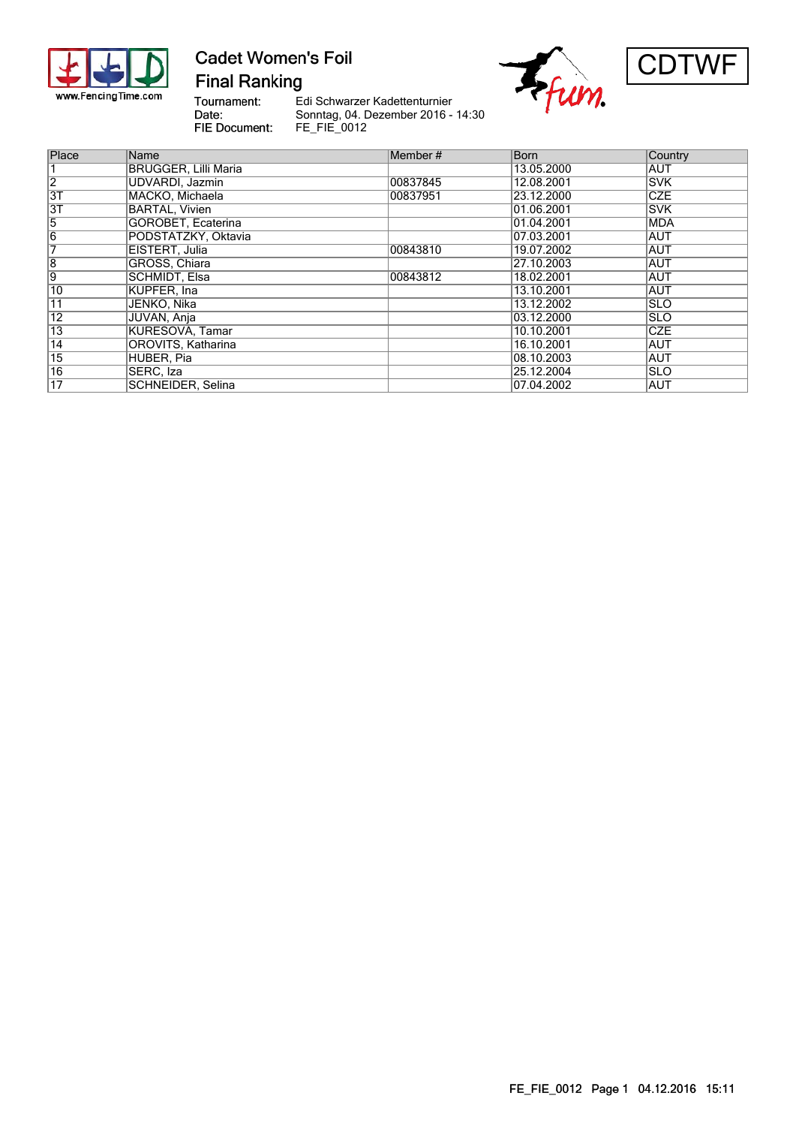

## **Cadet Women's Foil Final Ranking**

Tournament: Date: **FIE Document:** 

Edi Schwarzer Kadettenturnier Sonntag, 04. Dezember 2016 - 14:30 FE\_FIE\_0012





| Place           | Name                        | Member#  | <b>Born</b> | Country     |
|-----------------|-----------------------------|----------|-------------|-------------|
|                 | <b>BRUGGER, Lilli Maria</b> |          | 13.05.2000  | <b>AUT</b>  |
| $\overline{2}$  | UDVARDI, Jazmin             | 00837845 | 12.08.2001  | <b>ISVK</b> |
| $\overline{31}$ | MACKO, Michaela             | 00837951 | 23.12.2000  | <b>CZE</b>  |
| 3T              | <b>BARTAL, Vivien</b>       |          | 01.06.2001  | <b>SVK</b>  |
| 5               | GOROBET, Ecaterina          |          | 01.04.2001  | <b>MDA</b>  |
| $\overline{6}$  | PODSTATZKY, Oktavia         |          | 07.03.2001  | <b>AUT</b>  |
| 7               | EISTERT, Julia              | 00843810 | 19.07.2002  | AUT         |
| $\overline{8}$  | GRÖSS, Chiara               |          | 27.10.2003  | <b>AUT</b>  |
| 9               | <b>SCHMIDT, Elsa</b>        | 00843812 | 18.02.2001  | <b>AUT</b>  |
| 10              | KUPFER. Ina                 |          | 13.10.2001  | <b>AUT</b>  |
| 11              | JENKO, Nika                 |          | 13.12.2002  | <b>SLO</b>  |
| $\overline{12}$ | JUVAN, Anja                 |          | 03.12.2000  | <b>SLO</b>  |
| $\overline{13}$ | <b>KURESOVA, Tamar</b>      |          | 10.10.2001  | <b>CZE</b>  |
| $\overline{14}$ | OROVITS, Katharina          |          | 16.10.2001  | <b>AUT</b>  |
| $\overline{15}$ | HUBER, Pia                  |          | 08.10.2003  | AUT         |
| $\overline{16}$ | SERC, Iza                   |          | 25.12.2004  | <b>SLO</b>  |
| $\overline{17}$ | SCHNEIDER, Selina           |          | 07.04.2002  | <b>AUT</b>  |